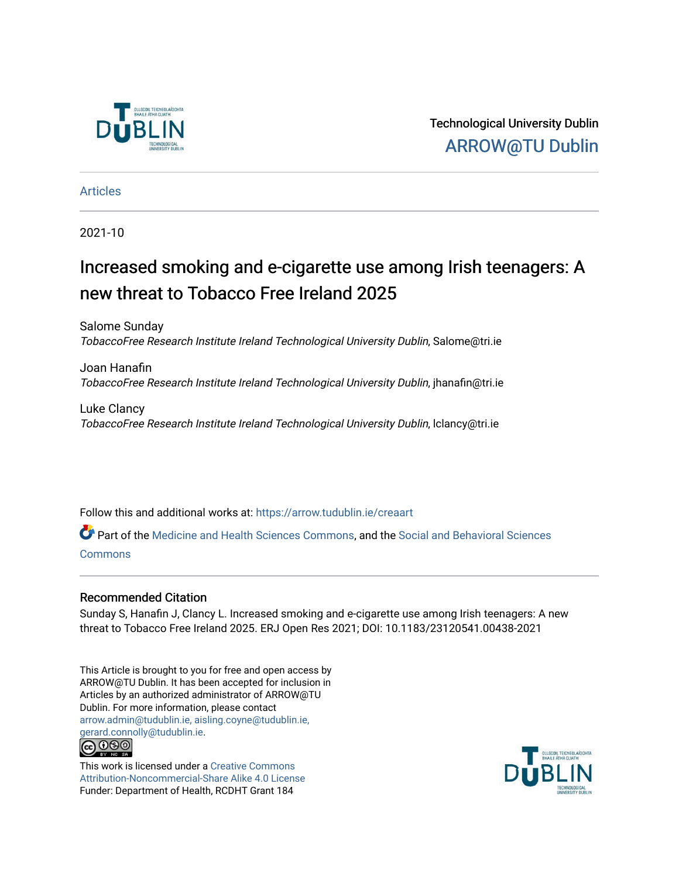

Technological University Dublin [ARROW@TU Dublin](https://arrow.tudublin.ie/) 

[Articles](https://arrow.tudublin.ie/creaart)

2021-10

# Increased smoking and e-cigarette use among Irish teenagers: A new threat to Tobacco Free Ireland 2025

Salome Sunday TobaccoFree Research Institute Ireland Technological University Dublin, Salome@tri.ie

Joan Hanafin TobaccoFree Research Institute Ireland Technological University Dublin, jhanafin@tri.ie

Luke Clancy TobaccoFree Research Institute Ireland Technological University Dublin, lclancy@tri.ie

Follow this and additional works at: [https://arrow.tudublin.ie/creaart](https://arrow.tudublin.ie/creaart?utm_source=arrow.tudublin.ie%2Fcreaart%2F51&utm_medium=PDF&utm_campaign=PDFCoverPages) 

Part of the [Medicine and Health Sciences Commons,](http://network.bepress.com/hgg/discipline/648?utm_source=arrow.tudublin.ie%2Fcreaart%2F51&utm_medium=PDF&utm_campaign=PDFCoverPages) and the [Social and Behavioral Sciences](http://network.bepress.com/hgg/discipline/316?utm_source=arrow.tudublin.ie%2Fcreaart%2F51&utm_medium=PDF&utm_campaign=PDFCoverPages) [Commons](http://network.bepress.com/hgg/discipline/316?utm_source=arrow.tudublin.ie%2Fcreaart%2F51&utm_medium=PDF&utm_campaign=PDFCoverPages)

### Recommended Citation

Sunday S, Hanafin J, Clancy L. Increased smoking and e-cigarette use among Irish teenagers: A new threat to Tobacco Free Ireland 2025. ERJ Open Res 2021; DOI: 10.1183/23120541.00438-2021

This Article is brought to you for free and open access by ARROW@TU Dublin. It has been accepted for inclusion in Articles by an authorized administrator of ARROW@TU Dublin. For more information, please contact [arrow.admin@tudublin.ie, aisling.coyne@tudublin.ie,](mailto:arrow.admin@tudublin.ie,%20aisling.coyne@tudublin.ie,%20gerard.connolly@tudublin.ie)  [gerard.connolly@tudublin.ie](mailto:arrow.admin@tudublin.ie,%20aisling.coyne@tudublin.ie,%20gerard.connolly@tudublin.ie). **@** 00

This work is licensed under a [Creative Commons](http://creativecommons.org/licenses/by-nc-sa/4.0/) [Attribution-Noncommercial-Share Alike 4.0 License](http://creativecommons.org/licenses/by-nc-sa/4.0/) Funder: Department of Health, RCDHT Grant 184

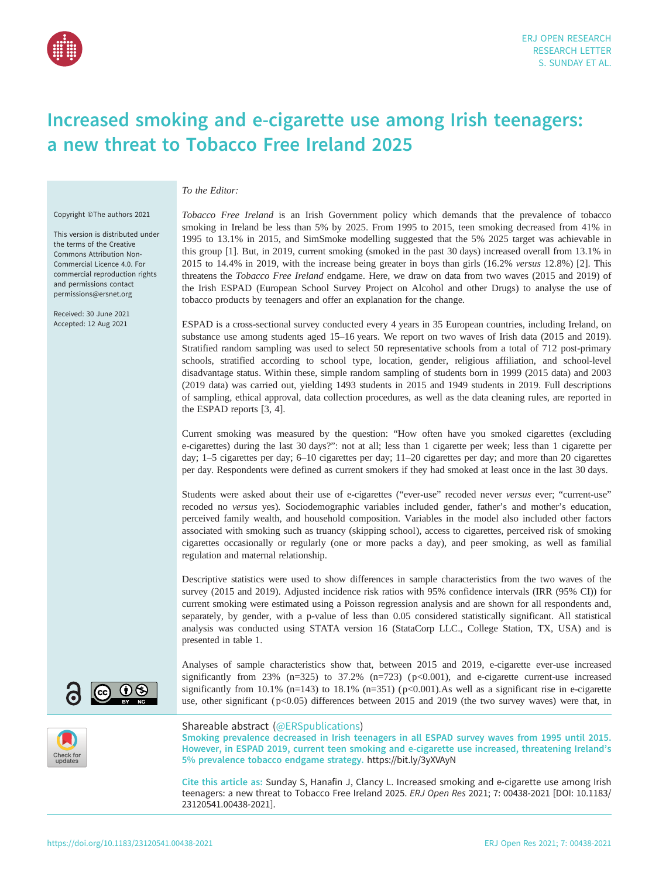

## Increased smoking and e-cigarette use among Irish teenagers: a new threat to Tobacco Free Ireland 2025

To the Editor:

Copyright ©The authors 2021

This version is distributed under the terms of the Creative Commons Attribution Non-Commercial Licence 4.0. For commercial reproduction rights and permissions contact [permissions@ersnet.org](mailto:permissions@ersnet.org)

Received: 30 June 2021 Accepted: 12 Aug 2021 Tobacco Free Ireland is an Irish Government policy which demands that the prevalence of tobacco smoking in Ireland be less than 5% by 2025. From 1995 to 2015, teen smoking decreased from 41% in 1995 to 13.1% in 2015, and SimSmoke modelling suggested that the 5% 2025 target was achievable in this group [\[1\]](#page-4-0). But, in 2019, current smoking (smoked in the past 30 days) increased overall from 13.1% in 2015 to 14.4% in 2019, with the increase being greater in boys than girls (16.2% versus 12.8%) [\[2\]](#page-4-0). This threatens the Tobacco Free Ireland endgame. Here, we draw on data from two waves (2015 and 2019) of the Irish ESPAD (European School Survey Project on Alcohol and other Drugs) to analyse the use of tobacco products by teenagers and offer an explanation for the change.

ESPAD is a cross-sectional survey conducted every 4 years in 35 European countries, including Ireland, on substance use among students aged 15–16 years. We report on two waves of Irish data (2015 and 2019). Stratified random sampling was used to select 50 representative schools from a total of 712 post-primary schools, stratified according to school type, location, gender, religious affiliation, and school-level disadvantage status. Within these, simple random sampling of students born in 1999 (2015 data) and 2003 (2019 data) was carried out, yielding 1493 students in 2015 and 1949 students in 2019. Full descriptions of sampling, ethical approval, data collection procedures, as well as the data cleaning rules, are reported in the ESPAD reports [[3](#page-4-0), [4\]](#page-4-0).

Current smoking was measured by the question: "How often have you smoked cigarettes (excluding e-cigarettes) during the last 30 days?": not at all; less than 1 cigarette per week; less than 1 cigarette per day; 1–5 cigarettes per day; 6–10 cigarettes per day; 11–20 cigarettes per day; and more than 20 cigarettes per day. Respondents were defined as current smokers if they had smoked at least once in the last 30 days.

Students were asked about their use of e-cigarettes ("ever-use" recoded never versus ever; "current-use" recoded no versus yes). Sociodemographic variables included gender, father's and mother's education, perceived family wealth, and household composition. Variables in the model also included other factors associated with smoking such as truancy (skipping school), access to cigarettes, perceived risk of smoking cigarettes occasionally or regularly (one or more packs a day), and peer smoking, as well as familial regulation and maternal relationship.

Descriptive statistics were used to show differences in sample characteristics from the two waves of the survey (2015 and 2019). Adjusted incidence risk ratios with 95% confidence intervals (IRR (95% CI)) for current smoking were estimated using a Poisson regression analysis and are shown for all respondents and, separately, by gender, with a p-value of less than 0.05 considered statistically significant. All statistical analysis was conducted using STATA version 16 (StataCorp LLC., College Station, TX, USA) and is presented in [table 1](#page-2-0).

Analyses of sample characteristics show that, between 2015 and 2019, e-cigarette ever-use increased significantly from 23% (n=325) to 37.2% (n=723) ( $p<0.001$ ), and e-cigarette current-use increased significantly from 10.1% (n=143) to 18.1% (n=351) ( $p$ <0.001). As well as a significant rise in e-cigarette use, other significant ( $p<0.05$ ) differences between 2015 and 2019 (the two survey waves) were that, in



 $(cc)$ 

Shareable abstract (@ERSpublications)

Smoking prevalence decreased in Irish teenagers in all ESPAD survey waves from 1995 until 2015. However, in ESPAD 2019, current teen smoking and e-cigarette use increased, threatening Ireland's 5% prevalence tobacco endgame strategy. <https://bit.ly/3yXVAyN>

Cite this article as: Sunday S, Hanafin J, Clancy L. Increased smoking and e-cigarette use among Irish teenagers: a new threat to Tobacco Free Ireland 2025. ERJ Open Res 2021; 7: 00438-2021 [\[DOI: 10.1183/](https://doi.org/10.1183/23120541.00438-2021) [23120541.00438-2021\].](https://doi.org/10.1183/23120541.00438-2021)

 $\odot$   $\odot$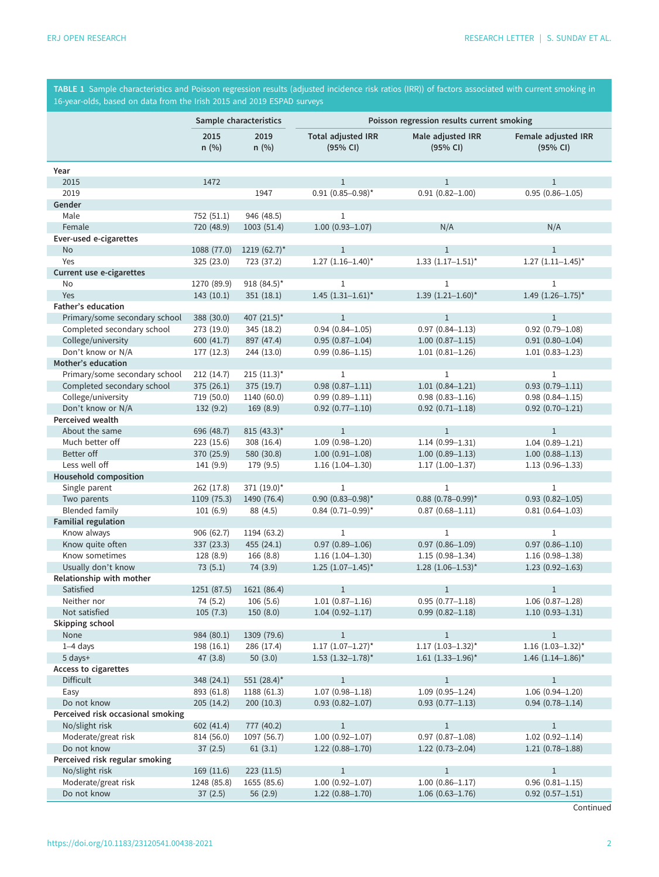<span id="page-2-0"></span>TABLE 1 Sample characteristics and Poisson regression results (adjusted incidence risk ratios (IRR)) of factors associated with current smoking in 16-year-olds, based on data from the Irish 2015 and 2019 ESPAD surveys

|                                                | Sample characteristics |                 | Poisson regression results current smoking |                                          |                                          |
|------------------------------------------------|------------------------|-----------------|--------------------------------------------|------------------------------------------|------------------------------------------|
|                                                | 2015<br>$n$ (%)        | 2019<br>$n$ (%) | <b>Total adjusted IRR</b><br>(95% CI)      | Male adjusted IRR<br>(95% CI)            | Female adjusted IRR<br>(95% CI)          |
| Year                                           |                        |                 |                                            |                                          |                                          |
| 2015                                           | 1472                   |                 | $\mathbf{1}$                               | $\mathbf{1}$                             | $\mathbf{1}$                             |
| 2019                                           |                        | 1947            | $0.91$ $(0.85 - 0.98)^*$                   | $0.91(0.82 - 1.00)$                      | $0.95(0.86 - 1.05)$                      |
| Gender                                         |                        |                 |                                            |                                          |                                          |
| Male                                           | 752 (51.1)             | 946 (48.5)      | $\mathbf{1}$                               |                                          |                                          |
| Female                                         | 720 (48.9)             | 1003(51.4)      | $1.00(0.93 - 1.07)$                        | N/A                                      | N/A                                      |
| Ever-used e-cigarettes                         |                        |                 |                                            |                                          |                                          |
| <b>No</b>                                      | 1088 (77.0)            | $1219(62.7)$ *  | $\mathbf{1}$                               | $\mathbf{1}$                             | $\mathbf{1}$                             |
| Yes                                            | 325 (23.0)             | 723 (37.2)      | $1.27$ $(1.16-1.40)$ *                     | $1.33$ $(1.17-1.51)^*$                   | $1.27$ $(1.11-1.45)$ *                   |
| Current use e-cigarettes                       |                        |                 |                                            |                                          |                                          |
| No<br>Yes                                      | 1270 (89.9)            | 918 (84.5)*     | $\mathbf{1}$<br>$1.45$ $(1.31-1.61)^*$     | $\mathbf{1}$<br>$1.39$ $(1.21 - 1.60)^*$ | $\mathbf{1}$<br>$1.49$ $(1.26 - 1.75)^*$ |
| Father's education                             | 143(10.1)              | 351(18.1)       |                                            |                                          |                                          |
| Primary/some secondary school                  | 388 (30.0)             | 407 $(21.5)^*$  | $\mathbf{1}$                               | $\mathbf{1}$                             | $\mathbf{1}$                             |
| Completed secondary school                     | 273 (19.0)             | 345 (18.2)      | $0.94(0.84 - 1.05)$                        | $0.97(0.84 - 1.13)$                      | $0.92(0.79 - 1.08)$                      |
| College/university                             | 600 (41.7)             | 897 (47.4)      | $0.95(0.87 - 1.04)$                        | $1.00(0.87 - 1.15)$                      | $0.91(0.80 - 1.04)$                      |
| Don't know or N/A                              | 177 (12.3)             | 244 (13.0)      | $0.99(0.86 - 1.15)$                        | $1.01(0.81 - 1.26)$                      | $1.01(0.83 - 1.23)$                      |
| Mother's education                             |                        |                 |                                            |                                          |                                          |
| Primary/some secondary school                  | 212(14.7)              | $215 (11.3)^*$  | $\mathbf{1}$                               | $\mathbf{1}$                             | $\mathbf{1}$                             |
| Completed secondary school                     | 375 (26.1)             | 375 (19.7)      | $0.98(0.87 - 1.11)$                        | $1.01(0.84 - 1.21)$                      | $0.93(0.79 - 1.11)$                      |
| College/university                             | 719 (50.0)             | 1140 (60.0)     | $0.99(0.89 - 1.11)$                        | $0.98(0.83 - 1.16)$                      | $0.98(0.84 - 1.15)$                      |
| Don't know or N/A                              | 132(9.2)               | 169(8.9)        | $0.92$ $(0.77 - 1.10)$                     | $0.92$ $(0.71 - 1.18)$                   | $0.92(0.70 - 1.21)$                      |
| Perceived wealth                               |                        |                 |                                            |                                          |                                          |
| About the same                                 | 696 (48.7)             | 815 $(43.3)^*$  | $\mathbf{1}$                               | $\mathbf{1}$                             | $\mathbf{1}$                             |
| Much better off                                | 223 (15.6)             | 308 (16.4)      | $1.09(0.98 - 1.20)$                        | $1.14(0.99 - 1.31)$                      | $1.04(0.89 - 1.21)$                      |
| Better off                                     | 370 (25.9)             | 580 (30.8)      | $1.00(0.91 - 1.08)$                        | $1.00(0.89 - 1.13)$                      | $1.00(0.88 - 1.13)$                      |
| Less well off                                  | 141 (9.9)              | 179 (9.5)       | $1.16(1.04 - 1.30)$                        | $1.17(1.00 - 1.37)$                      | $1.13(0.96 - 1.33)$                      |
| <b>Household composition</b>                   |                        |                 |                                            |                                          |                                          |
| Single parent                                  | 262 (17.8)             | 371 (19.0)*     | $\mathbf{1}$                               | $\mathbf{1}$                             | $\mathbf{1}$                             |
| Two parents                                    | 1109 (75.3)            | 1490 (76.4)     | $0.90$ $(0.83 - 0.98)^*$                   | $0.88$ (0.78-0.99)*                      | $0.93(0.82 - 1.05)$                      |
| <b>Blended family</b>                          | 101(6.9)               | 88 (4.5)        | $0.84$ (0.71-0.99)*                        | $0.87(0.68 - 1.11)$                      | $0.81(0.64 - 1.03)$                      |
| Familial regulation                            |                        |                 |                                            |                                          |                                          |
| Know always                                    | 906 (62.7)             | 1194 (63.2)     | $\mathbf{1}$                               | $\mathbf{1}$                             | $\mathbf{1}$                             |
| Know quite often                               | 337 (23.3)             | 455 (24.1)      | $0.97(0.89 - 1.06)$                        | $0.97$ $(0.86 - 1.09)$                   | $0.97(0.86 - 1.10)$                      |
| Know sometimes                                 | 128 (8.9)              | 166 (8.8)       | $1.16(1.04 - 1.30)$                        | $1.15(0.98 - 1.34)$                      | $1.16(0.98 - 1.38)$                      |
| Usually don't know<br>Relationship with mother | 73(5.1)                | 74 (3.9)        | $1.25$ $(1.07-1.45)$ *                     | $1.28$ (1.06-1.53)*                      | $1.23(0.92 - 1.63)$                      |
| Satisfied                                      | 1251 (87.5)            | 1621 (86.4)     | $\mathbf{1}$                               | $\mathbf{1}$                             | $\mathbf{1}$                             |
| Neither nor                                    | 74 (5.2)               | 106(5.6)        | $1.01(0.87 - 1.16)$                        | $0.95(0.77 - 1.18)$                      | $1.06(0.87 - 1.28)$                      |
| Not satisfied                                  | 105(7.3)               | 150(8.0)        | $1.04(0.92 - 1.17)$                        | $0.99(0.82 - 1.18)$                      | $1.10(0.93 - 1.31)$                      |
| Skipping school                                |                        |                 |                                            |                                          |                                          |
| None                                           | 984 (80.1)             | 1309 (79.6)     | $\mathbf{1}$                               | $\mathbf{1}$                             | $\mathbf{1}$                             |
| 1-4 days                                       | 198 (16.1)             | 286 (17.4)      | $1.17$ $(1.07-1.27)$ *                     | $1.17$ $(1.03-1.32)^{*}$                 | $1.16$ (1.03-1.32)*                      |
| 5 days+                                        | 47(3.8)                | 50(3.0)         | $1.53$ $(1.32-1.78)$ <sup>*</sup>          | $1.61$ (1.33-1.96)*                      | 1.46 $(1.14 - 1.86)^*$                   |
| Access to cigarettes                           |                        |                 |                                            |                                          |                                          |
| <b>Difficult</b>                               | 348 (24.1)             | 551 $(28.4)^*$  | $\mathbf{1}$                               | $1\,$                                    | $\mathbf{1}$                             |
| Easy                                           | 893 (61.8)             | 1188 (61.3)     | $1.07(0.98 - 1.18)$                        | $1.09(0.95 - 1.24)$                      | $1.06(0.94 - 1.20)$                      |
| Do not know                                    | 205(14.2)              | 200(10.3)       | $0.93(0.82 - 1.07)$                        | $0.93(0.77 - 1.13)$                      | $0.94(0.78 - 1.14)$                      |
| Perceived risk occasional smoking              |                        |                 |                                            |                                          |                                          |
| No/slight risk                                 | 602 (41.4)             | 777 (40.2)      | $\mathbf{1}$                               | $\mathbf{1}$                             | $\mathbf{1}$                             |
| Moderate/great risk                            | 814 (56.0)             | 1097 (56.7)     | $1.00(0.92 - 1.07)$                        | $0.97$ $(0.87 - 1.08)$                   | $1.02(0.92 - 1.14)$                      |
| Do not know                                    | 37(2.5)                | 61(3.1)         | $1.22(0.88 - 1.70)$                        | $1.22(0.73 - 2.04)$                      | $1.21(0.78 - 1.88)$                      |
| Perceived risk regular smoking                 |                        |                 |                                            |                                          |                                          |
| No/slight risk                                 | 169 (11.6)             | 223(11.5)       | $1\,$                                      | $\,1\,$                                  | $\,1$                                    |
| Moderate/great risk                            | 1248 (85.8)            | 1655 (85.6)     | $1.00(0.92 - 1.07)$                        | $1.00(0.86 - 1.17)$                      | $0.96$ $(0.81 - 1.15)$                   |
| Do not know                                    | 37(2.5)                | 56(2.9)         | $1.22(0.88 - 1.70)$                        | $1.06(0.63 - 1.76)$                      | $0.92$ $(0.57 - 1.51)$                   |

**Continued**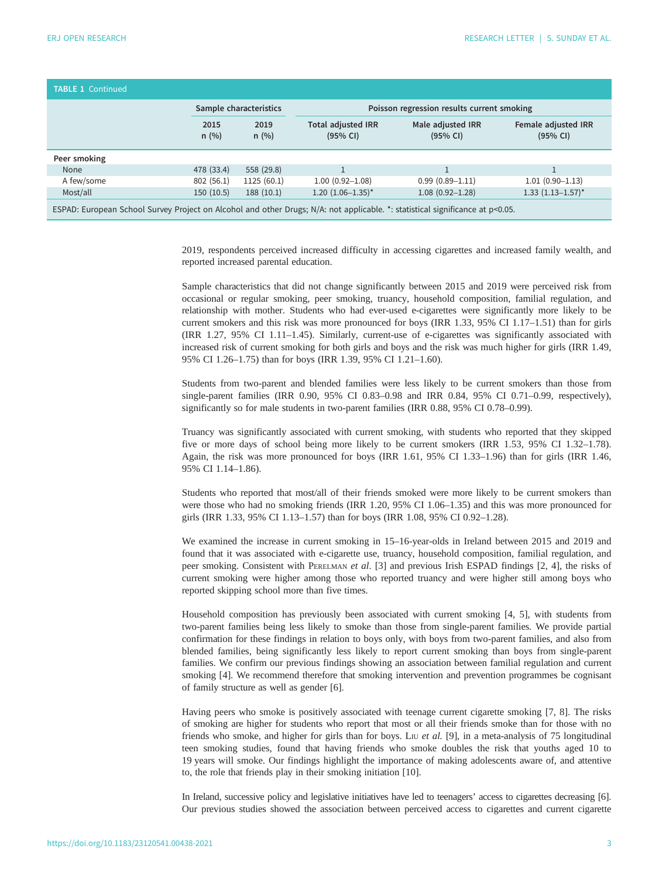| <b>TABLE 1 Continued</b>                                                                                                         |                        |              |                                            |                               |                                 |  |  |  |  |
|----------------------------------------------------------------------------------------------------------------------------------|------------------------|--------------|--------------------------------------------|-------------------------------|---------------------------------|--|--|--|--|
|                                                                                                                                  | Sample characteristics |              | Poisson regression results current smoking |                               |                                 |  |  |  |  |
|                                                                                                                                  | 2015<br>n(%)           | 2019<br>n(%) | <b>Total adjusted IRR</b><br>(95% CI)      | Male adjusted IRR<br>(95% CI) | Female adjusted IRR<br>(95% CI) |  |  |  |  |
| Peer smoking                                                                                                                     |                        |              |                                            |                               |                                 |  |  |  |  |
| None                                                                                                                             | 478 (33.4)             | 558 (29.8)   |                                            |                               |                                 |  |  |  |  |
| A few/some                                                                                                                       | 802(56.1)              | 1125 (60.1)  | $1.00(0.92 - 1.08)$                        | $0.99(0.89 - 1.11)$           | $1.01(0.90 - 1.13)$             |  |  |  |  |
| Most/all                                                                                                                         | 150(10.5)              | 188(10.1)    | $1.20$ $(1.06-1.35)$ *                     | $1.08(0.92 - 1.28)$           | $1.33$ $(1.13 - 1.57)^*$        |  |  |  |  |
| ESPAD: European School Survey Project on Alcohol and other Drugs; N/A: not applicable. *: statistical significance at $p<0.05$ . |                        |              |                                            |                               |                                 |  |  |  |  |

2019, respondents perceived increased difficulty in accessing cigarettes and increased family wealth, and reported increased parental education.

Sample characteristics that did not change significantly between 2015 and 2019 were perceived risk from occasional or regular smoking, peer smoking, truancy, household composition, familial regulation, and relationship with mother. Students who had ever-used e-cigarettes were significantly more likely to be current smokers and this risk was more pronounced for boys (IRR 1.33, 95% CI 1.17–1.51) than for girls (IRR 1.27, 95% CI 1.11–1.45). Similarly, current-use of e-cigarettes was significantly associated with increased risk of current smoking for both girls and boys and the risk was much higher for girls (IRR 1.49, 95% CI 1.26–1.75) than for boys (IRR 1.39, 95% CI 1.21–1.60).

Students from two-parent and blended families were less likely to be current smokers than those from single-parent families (IRR 0.90, 95% CI 0.83–0.98 and IRR 0.84, 95% CI 0.71–0.99, respectively), significantly so for male students in two-parent families (IRR 0.88, 95% CI 0.78–0.99).

Truancy was significantly associated with current smoking, with students who reported that they skipped five or more days of school being more likely to be current smokers (IRR 1.53, 95% CI 1.32–1.78). Again, the risk was more pronounced for boys (IRR 1.61, 95% CI 1.33–1.96) than for girls (IRR 1.46, 95% CI 1.14–1.86).

Students who reported that most/all of their friends smoked were more likely to be current smokers than were those who had no smoking friends (IRR 1.20, 95% CI 1.06–1.35) and this was more pronounced for girls (IRR 1.33, 95% CI 1.13–1.57) than for boys (IRR 1.08, 95% CI 0.92–1.28).

We examined the increase in current smoking in 15–16-year-olds in Ireland between 2015 and 2019 and found that it was associated with e-cigarette use, truancy, household composition, familial regulation, and peer smoking. Consistent with PERELMAN et al. [\[3\]](#page-4-0) and previous Irish ESPAD findings [[2](#page-4-0), [4](#page-4-0)], the risks of current smoking were higher among those who reported truancy and were higher still among boys who reported skipping school more than five times.

Household composition has previously been associated with current smoking [\[4, 5](#page-4-0)], with students from two-parent families being less likely to smoke than those from single-parent families. We provide partial confirmation for these findings in relation to boys only, with boys from two-parent families, and also from blended families, being significantly less likely to report current smoking than boys from single-parent families. We confirm our previous findings showing an association between familial regulation and current smoking [\[4\]](#page-4-0). We recommend therefore that smoking intervention and prevention programmes be cognisant of family structure as well as gender [\[6\]](#page-5-0).

Having peers who smoke is positively associated with teenage current cigarette smoking [[7](#page-5-0), [8](#page-5-0)]. The risks of smoking are higher for students who report that most or all their friends smoke than for those with no friends who smoke, and higher for girls than for boys. L<sub>IU</sub> et al. [[9](#page-5-0)], in a meta-analysis of 75 longitudinal teen smoking studies, found that having friends who smoke doubles the risk that youths aged 10 to 19 years will smoke. Our findings highlight the importance of making adolescents aware of, and attentive to, the role that friends play in their smoking initiation [[10\]](#page-5-0).

In Ireland, successive policy and legislative initiatives have led to teenagers' access to cigarettes decreasing [\[6\]](#page-5-0). Our previous studies showed the association between perceived access to cigarettes and current cigarette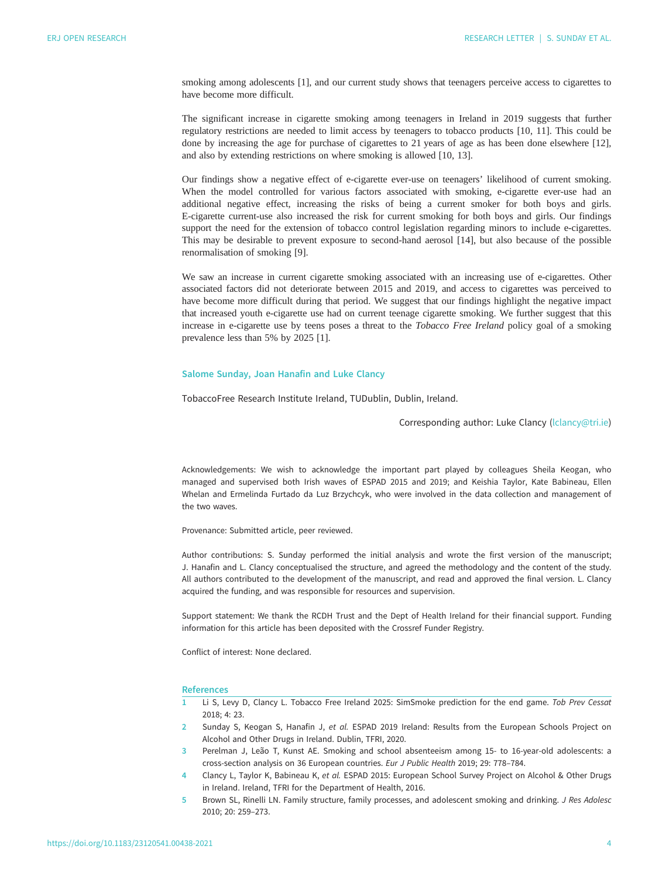<span id="page-4-0"></span>smoking among adolescents [1], and our current study shows that teenagers perceive access to cigarettes to have become more difficult.

The significant increase in cigarette smoking among teenagers in Ireland in 2019 suggests that further regulatory restrictions are needed to limit access by teenagers to tobacco products [\[10](#page-5-0), [11\]](#page-5-0). This could be done by increasing the age for purchase of cigarettes to 21 years of age as has been done elsewhere [[12\]](#page-5-0), and also by extending restrictions on where smoking is allowed [[10, 13](#page-5-0)].

Our findings show a negative effect of e-cigarette ever-use on teenagers' likelihood of current smoking. When the model controlled for various factors associated with smoking, e-cigarette ever-use had an additional negative effect, increasing the risks of being a current smoker for both boys and girls. E-cigarette current-use also increased the risk for current smoking for both boys and girls. Our findings support the need for the extension of tobacco control legislation regarding minors to include e-cigarettes. This may be desirable to prevent exposure to second-hand aerosol [\[14](#page-5-0)], but also because of the possible renormalisation of smoking [\[9\]](#page-5-0).

We saw an increase in current cigarette smoking associated with an increasing use of e-cigarettes. Other associated factors did not deteriorate between 2015 and 2019, and access to cigarettes was perceived to have become more difficult during that period. We suggest that our findings highlight the negative impact that increased youth e-cigarette use had on current teenage cigarette smoking. We further suggest that this increase in e-cigarette use by teens poses a threat to the Tobacco Free Ireland policy goal of a smoking prevalence less than 5% by 2025 [1].

### Salome Sunday, Joan Hanafin and Luke Clancy

TobaccoFree Research Institute Ireland, TUDublin, Dublin, Ireland.

Corresponding author: Luke Clancy [\(lclancy@tri.ie](mailto:lclancy@tri.ie))

Acknowledgements: We wish to acknowledge the important part played by colleagues Sheila Keogan, who managed and supervised both Irish waves of ESPAD 2015 and 2019; and Keishia Taylor, Kate Babineau, Ellen Whelan and Ermelinda Furtado da Luz Brzychcyk, who were involved in the data collection and management of the two waves.

Provenance: Submitted article, peer reviewed.

Author contributions: S. Sunday performed the initial analysis and wrote the first version of the manuscript; J. Hanafin and L. Clancy conceptualised the structure, and agreed the methodology and the content of the study. All authors contributed to the development of the manuscript, and read and approved the final version. L. Clancy acquired the funding, and was responsible for resources and supervision.

Support statement: We thank the RCDH Trust and the Dept of Health Ireland for their financial support. Funding information for this article has been deposited with the [Crossref Funder Registry.](https://www.crossref.org/services/funder-registry/)

Conflict of interest: None declared.

#### **References**

- 1 Li S, Levy D, Clancy L. Tobacco Free Ireland 2025: SimSmoke prediction for the end game. Tob Prev Cessat 2018; 4: 23.
- 2 Sunday S, Keogan S, Hanafin J, et al. ESPAD 2019 Ireland: Results from the European Schools Project on Alcohol and Other Drugs in Ireland. Dublin, TFRI, 2020.
- 3 Perelman J, Leão T, Kunst AE. Smoking and school absenteeism among 15- to 16-year-old adolescents: a cross-section analysis on 36 European countries. Eur J Public Health 2019; 29: 778–784.
- 4 Clancy L, Taylor K, Babineau K, et al. ESPAD 2015: European School Survey Project on Alcohol & Other Drugs in Ireland. Ireland, TFRI for the Department of Health, 2016.
- 5 Brown SL, Rinelli LN. Family structure, family processes, and adolescent smoking and drinking. J Res Adolesc 2010; 20: 259–273.